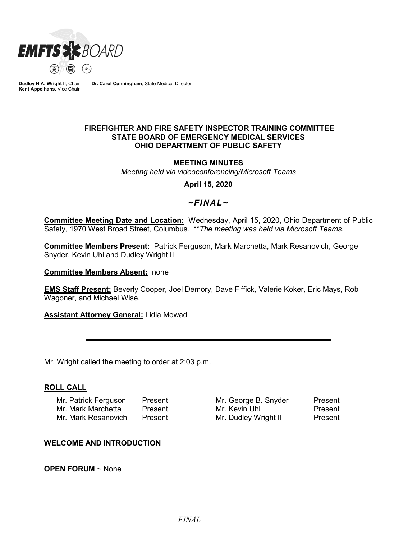

**Dudley H.A. Wright II**, Chair **Kent Appelhans**, Vice Chair

**Dr. Carol Cunningham**, State Medical Director

#### **FIREFIGHTER AND FIRE SAFETY INSPECTOR TRAINING COMMITTEE STATE BOARD OF EMERGENCY MEDICAL SERVICES OHIO DEPARTMENT OF PUBLIC SAFETY**

#### **MEETING MINUTES**

*Meeting held via videoconferencing/Microsoft Teams*

**April 15, 2020**

# *~FINAL~*

**Committee Meeting Date and Location:** Wednesday, April 15, 2020, Ohio Department of Public Safety, 1970 West Broad Street, Columbus. \*\**The meeting was held via Microsoft Teams.*

**Committee Members Present:** Patrick Ferguson, Mark Marchetta, Mark Resanovich, George Snyder, Kevin Uhl and Dudley Wright II

**Committee Members Absent:** none

**EMS Staff Present:** Beverly Cooper, Joel Demory, Dave Fiffick, Valerie Koker, Eric Mays, Rob Wagoner, and Michael Wise.

**Assistant Attorney General:** Lidia Mowad

Mr. Wright called the meeting to order at 2:03 p.m.

#### **ROLL CALL**

| Mr. Patrick Ferguson | Present |
|----------------------|---------|
| Mr. Mark Marchetta   | Present |
| Mr. Mark Resanovich  | Present |

Mr. George B. Snyder Present Mr. Kevin Uhl Present Mr. Dudley Wright II Present

## **WELCOME AND INTRODUCTION**

**OPEN FORUM** ~ None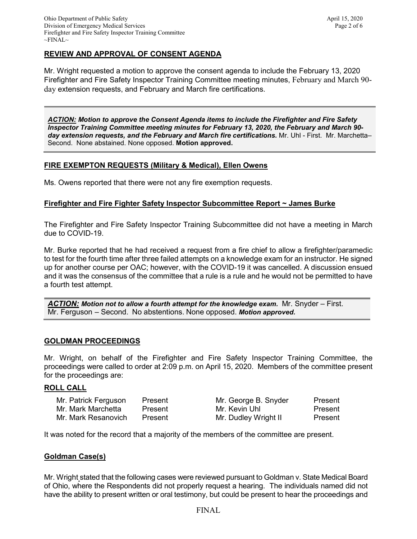Mr. Wright requested a motion to approve the consent agenda to include the February 13, 2020 Firefighter and Fire Safety Inspector Training Committee meeting minutes, February and March 90 day extension requests, and February and March fire certifications.

*ACTION: Motion to approve the Consent Agenda items to include the Firefighter and Fire Safety Inspector Training Committee meeting minutes for February 13, 2020, the February and March 90 day extension requests, and the February and March fire certifications.* Mr. Uhl - First. Mr. Marchetta– Second. None abstained. None opposed. **Motion approved.**

## **FIRE EXEMPTON REQUESTS (Military & Medical), Ellen Owens**

Ms. Owens reported that there were not any fire exemption requests.

## **Firefighter and Fire Fighter Safety Inspector Subcommittee Report ~ James Burke**

The Firefighter and Fire Safety Inspector Training Subcommittee did not have a meeting in March due to COVID-19.

Mr. Burke reported that he had received a request from a fire chief to allow a firefighter/paramedic to test for the fourth time after three failed attempts on a knowledge exam for an instructor. He signed up for another course per OAC; however, with the COVID-19 it was cancelled. A discussion ensued and it was the consensus of the committee that a rule is a rule and he would not be permitted to have a fourth test attempt.

*ACTION: Motion not to allow a fourth attempt for the knowledge exam.* Mr. Snyder – First. Mr. Ferguson – Second. No abstentions. None opposed. *Motion approved.* 

## **GOLDMAN PROCEEDINGS**

Mr. Wright, on behalf of the Firefighter and Fire Safety Inspector Training Committee, the proceedings were called to order at 2:09 p.m. on April 15, 2020. Members of the committee present for the proceedings are:

#### **ROLL CALL**

| Mr. Patrick Ferguson | Present | Mr. George B. Snyder | Present |
|----------------------|---------|----------------------|---------|
| Mr. Mark Marchetta   | Present | Mr. Kevin Uhl        | Present |
| Mr. Mark Resanovich  | Present | Mr. Dudley Wright II | Present |

It was noted for the record that a majority of the members of the committee are present.

## **Goldman Case(s)**

Mr. Wright stated that the following cases were reviewed pursuant to Goldman v. State Medical Board of Ohio, where the Respondents did not properly request a hearing. The individuals named did not have the ability to present written or oral testimony, but could be present to hear the proceedings and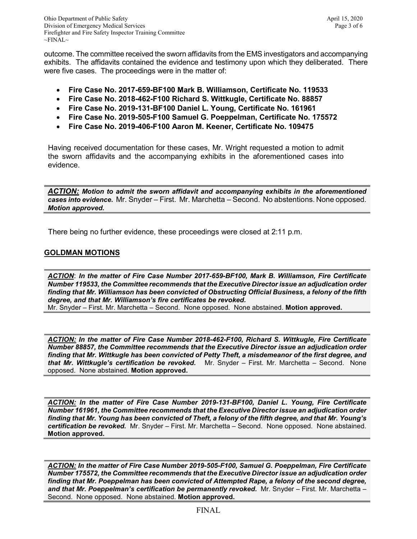outcome. The committee received the sworn affidavits from the EMS investigators and accompanying exhibits. The affidavits contained the evidence and testimony upon which they deliberated. There were five cases. The proceedings were in the matter of:

- **Fire Case No. 2017-659-BF100 Mark B. Williamson, Certificate No. 119533**
- **Fire Case No. 2018-462-F100 Richard S. Wittkugle, Certificate No. 88857**
- **Fire Case No. 2019-131-BF100 Daniel L. Young, Certificate No. 161961**
- **Fire Case No. 2019-505-F100 Samuel G. Poeppelman, Certificate No. 175572**
- **Fire Case No. 2019-406-F100 Aaron M. Keener, Certificate No. 109475**

Having received documentation for these cases, Mr. Wright requested a motion to admit the sworn affidavits and the accompanying exhibits in the aforementioned cases into evidence.

*ACTION: Motion to admit the sworn affidavit and accompanying exhibits in the aforementioned cases into evidence.* Mr. Snyder – First. Mr. Marchetta – Second. No abstentions. None opposed. *Motion approved.* 

There being no further evidence, these proceedings were closed at 2:11 p.m.

## **GOLDMAN MOTIONS**

*ACTION*: *In the matter of Fire Case Number 2017-659-BF100, Mark B. Williamson, Fire Certificate Number 119533, the Committee recommends that the Executive Director issue an adjudication order finding that Mr. Williamson has been convicted of Obstructing Official Business, a felony of the fifth degree, and that Mr. Williamson's fire certificates be revoked.* Mr. Snyder – First. Mr. Marchetta – Second. None opposed. None abstained. **Motion approved.** 

*ACTION: In the matter of Fire Case Number 2018-462-F100, Richard S. Wittkugle, Fire Certificate Number 88857, the Committee recommends that the Executive Director issue an adjudication order finding that Mr. Wittkugle has been convicted of Petty Theft, a misdemeanor of the first degree, and that Mr. Wittkugle's certification be revoked.* Mr. Snyder – First. Mr. Marchetta – Second. None opposed. None abstained. **Motion approved.** 

*ACTION: In the matter of Fire Case Number 2019-131-BF100, Daniel L. Young, Fire Certificate Number 161961, the Committee recommends that the Executive Director issue an adjudication order finding that Mr. Young has been convicted of Theft, a felony of the fifth degree, and that Mr. Young's certification be revoked.* Mr. Snyder – First. Mr. Marchetta – Second. None opposed. None abstained. **Motion approved.** 

*ACTION: In the matter of Fire Case Number 2019-505-F100, Samuel G. Poeppelman, Fire Certificate Number 175572, the Committee recommends that the Executive Director issue an adjudication order finding that Mr. Poeppelman has been convicted of Attempted Rape, a felony of the second degree, and that Mr. Poeppelman's certification be permanently revoked.* Mr. Snyder – First. Mr. Marchetta – Second. None opposed. None abstained. **Motion approved.**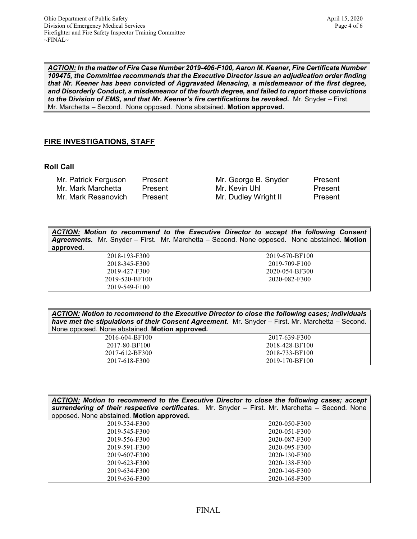*ACTION: In the matter of Fire Case Number 2019-406-F100, Aaron M. Keener, Fire Certificate Number 109475, the Committee recommends that the Executive Director issue an adjudication order finding that Mr. Keener has been convicted of Aggravated Menacing, a misdemeanor of the first degree, and Disorderly Conduct, a misdemeanor of the fourth degree, and failed to report these convictions*  to the Division of EMS, and that Mr. Keener's fire certifications be revoked. Mr. Snyder - First. Mr. Marchetta – Second. None opposed. None abstained. **Motion approved.** 

## **FIRE INVESTIGATIONS, STAFF**

2019-549-F100

#### **Roll Call**

| Mr. Patrick Ferguson | Present | Mr. George B. Snyder | Present |
|----------------------|---------|----------------------|---------|
| Mr. Mark Marchetta   | Present | Mr. Kevin Uhl        | Present |
| Mr. Mark Resanovich  | Present | Mr. Dudley Wright II | Present |

| ACTION: Motion to recommend to the Executive Director to accept the following Consent<br><b>Agreements.</b> Mr. Snyder – First. Mr. Marchetta – Second. None opposed. None abstained. Motion<br>approved. |                |
|-----------------------------------------------------------------------------------------------------------------------------------------------------------------------------------------------------------|----------------|
| 2018-193-F300                                                                                                                                                                                             | 2019-670-BF100 |
| 2018-345-F300                                                                                                                                                                                             | 2019-709-F100  |
| 2019-427-F300                                                                                                                                                                                             | 2020-054-BF300 |
| 2019-520-BF100                                                                                                                                                                                            | 2020-082-F300  |

| ACTION: Motion to recommend to the Executive Director to close the following cases; individuals   |  |
|---------------------------------------------------------------------------------------------------|--|
| have met the stipulations of their Consent Agreement. Mr. Snyder – First. Mr. Marchetta – Second. |  |
| None opposed. None abstained. Motion approved.                                                    |  |

| 2016-604-BF100 | 2017-639-F300  |
|----------------|----------------|
| 2017-80-BF100  | 2018-428-BF100 |
| 2017-612-BF300 | 2018-733-BF100 |
| 2017-618-F300  | 2019-170-BF100 |

| ACTION: Motion to recommend to the Executive Director to close the following cases; accept<br>surrendering of their respective certificates. Mr. Snyder - First. Mr. Marchetta - Second. None |               |  |
|-----------------------------------------------------------------------------------------------------------------------------------------------------------------------------------------------|---------------|--|
| opposed. None abstained. Motion approved.                                                                                                                                                     |               |  |
| 2019-534-F300                                                                                                                                                                                 | 2020-050-F300 |  |
| 2019-545-F300                                                                                                                                                                                 | 2020-051-F300 |  |
| 2019-556-F300                                                                                                                                                                                 | 2020-087-F300 |  |
| 2019-591-F300                                                                                                                                                                                 | 2020-095-F300 |  |
| 2019-607-F300                                                                                                                                                                                 | 2020-130-F300 |  |
| 2019-623-F300                                                                                                                                                                                 | 2020-138-F300 |  |
| 2019-634-F300                                                                                                                                                                                 | 2020-146-F300 |  |
| 2019-636-F300                                                                                                                                                                                 | 2020-168-F300 |  |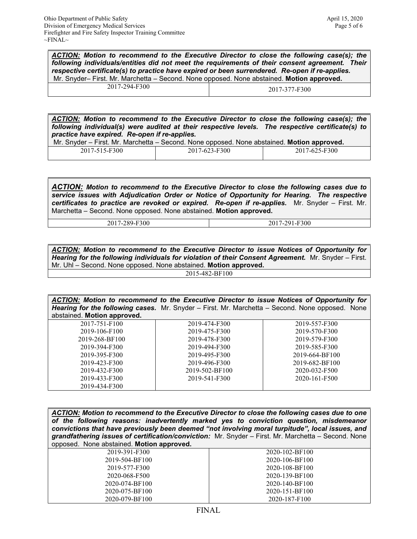*ACTION: Motion to recommend to the Executive Director to close the following case(s); the following individuals/entities did not meet the requirements of their consent agreement. Their respective certificate(s) to practice have expired or been surrendered. Re-open if re-applies.* Mr. Snyder– First. Mr. Marchetta – Second. None opposed. None abstained. **Motion approved.**

| -F300<br>2017-294-J | 2017-377-F300 |
|---------------------|---------------|

*ACTION: Motion to recommend to the Executive Director to close the following case(s); the following individual(s) were audited at their respective levels. The respective certificate(s) to practice have expired. Re-open if re-applies.*

|                 | Mr. Snyder – First. Mr. Marchetta – Second. None opposed. None abstained. <b>Motion approved.</b> |               |
|-----------------|---------------------------------------------------------------------------------------------------|---------------|
| $2017.515.7200$ | $2017.622.520$                                                                                    | $0.17772$ FOO |

| 2017-515-<br>7-515-F300 | 7-623-F300<br>201 <sup>'</sup> | E300<br>2017<br>$1 - 0 \angle$<br>7- F |
|-------------------------|--------------------------------|----------------------------------------|
|                         |                                |                                        |

*ACTION: Motion to recommend to the Executive Director to close the following cases due to service issues with Adjudication Order or Notice of Opportunity for Hearing. The respective certificates to practice are revoked or expired. Re-open if re-applies.* Mr. Snyder – First. Mr. Marchetta – Second. None opposed. None abstained. **Motion approved.**

| 2017-289-F300 | 2017-291-F300 |
|---------------|---------------|

*ACTION: Motion to recommend to the Executive Director to issue Notices of Opportunity for Hearing for the following individuals for violation of their Consent Agreement.* Mr. Snyder – First. Mr. Uhl – Second. None opposed. None abstained. **Motion approved.**

2015-482-BF100

*ACTION: Motion to recommend to the Executive Director to issue Notices of Opportunity for Hearing for the following cases.* Mr. Snyder – First. Mr. Marchetta – Second. None opposed. None abstained. **Motion approved.**

| apotalitoa. <b>Motion applovoa.</b> |                |                |
|-------------------------------------|----------------|----------------|
| 2017-751-F100                       | 2019-474-F300  | 2019-557-F300  |
| 2019-106-F100                       | 2019-475-F300  | 2019-570-F300  |
| 2019-268-BF100                      | 2019-478-F300  | 2019-579-F300  |
| 2019-394-F300                       | 2019-494-F300  | 2019-585-F300  |
| 2019-395-F300                       | 2019-495-F300  | 2019-664-BF100 |
| 2019-423-F300                       | 2019-496-F300  | 2019-682-BF100 |
| 2019-432-F300                       | 2019-502-BF100 | 2020-032-F500  |
| 2019-433-F300                       | 2019-541-F300  | 2020-161-F500  |
| 2019-434-F300                       |                |                |
|                                     |                |                |

| ACTION: Motion to recommend to the Executive Director to close the following cases due to one<br>of the following reasons: inadvertently marked yes to conviction question, misdemeanor<br>convictions that have previously been deemed "not involving moral turpitude", local issues, and<br>grandfathering issues of certification/conviction: Mr. Snyder - First. Mr. Marchetta - Second. None<br>opposed. None abstained. Motion approved. |                |
|------------------------------------------------------------------------------------------------------------------------------------------------------------------------------------------------------------------------------------------------------------------------------------------------------------------------------------------------------------------------------------------------------------------------------------------------|----------------|
| 2019-391-F300                                                                                                                                                                                                                                                                                                                                                                                                                                  | 2020-102-BF100 |
| 2019-504-BF100                                                                                                                                                                                                                                                                                                                                                                                                                                 | 2020-106-BF100 |
| 2019-577-F300                                                                                                                                                                                                                                                                                                                                                                                                                                  | 2020-108-BF100 |
| 2020-068-F500                                                                                                                                                                                                                                                                                                                                                                                                                                  | 2020-139-BF100 |
| 2020-074-BF100                                                                                                                                                                                                                                                                                                                                                                                                                                 | 2020-140-BF100 |
| 2020-075-BF100                                                                                                                                                                                                                                                                                                                                                                                                                                 | 2020-151-BF100 |

2020-187-F100

2020-079-BF100